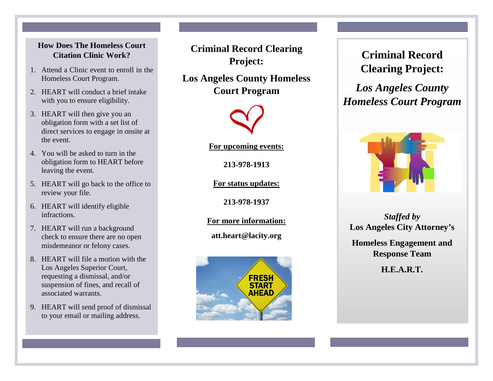#### **Frequently Asked Questions: Citation Clinic Work? How Does The Homeless Court**

- **What Happens After the Clinic?** 1. Attend a Clinic event to enroll in the Homeless Court Program.
- 2. HEART will conduct a brief intake with you to ensure eligibility.
- 3. HEART will then give you an obligation form with a set list of direct services to engage in onsite at the event.
- **What Happens After I Finish My Hours?** 4. You will be asked to turn in the leaving the event. obligation form to HEART before
- $\mathcal{F}^{\text{max}}_{\text{max}}$  and  $\mathcal{F}^{\text{max}}_{\text{max}}$  will send approved files files files files files files files files files files files files files files files files files files files files files files files files files files 5. HEART will go back to the office to review your file.
- 6. HEART will identify eligible infractions.
- **What Happens After My Tickets Are** 7. **HEART** will run a background misdemeanor or felony cases. Provider that your tickets are resolved. check to ensure there are no open
- 8. HEART will file a motion with the Los Angeles Superior Court, **I** suspension of fines, and recall of dooch requesting a dismissal, and/or associated warrants.
- 9. HEART will send proof of dismissal nail or mailing a to your email or mailing address.

**Criminal Record Clearing Project:**

**Los Angeles County Homeless Court Program**



**For upcoming events:** 

**213-978-1913**

**For status updates:**

**213-978-1937**

**For more information:**

**[att.heart@lacity.org](mailto:att.heart@lacity.org)**



# **Criminal Record Clearing Project:**

*Los Angeles County Homeless Court Program*



*Staffed by*  **Los Angeles City Attorney's** 

**Homeless Engagement and Response Team**

**H.E.A.R.T.**